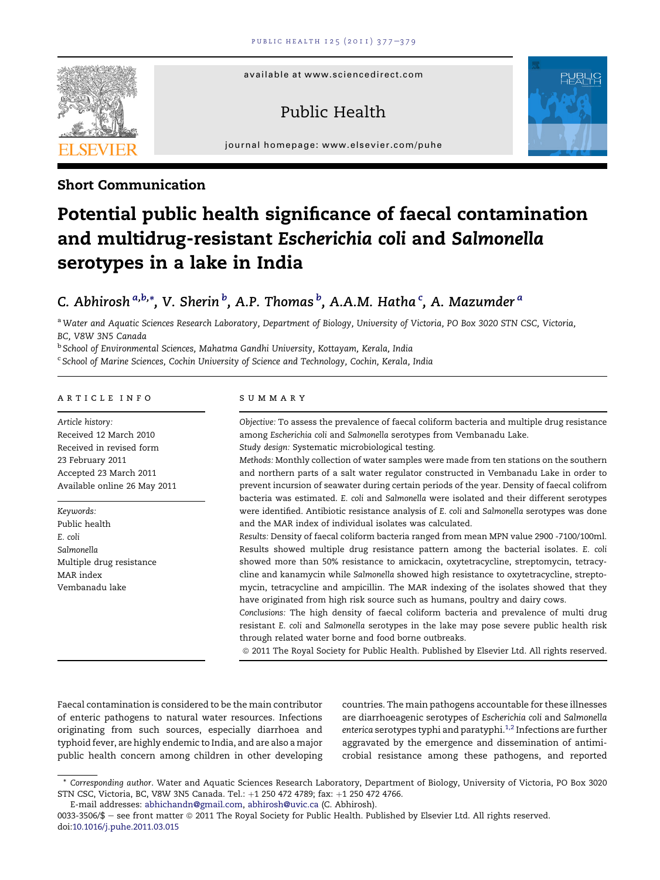available at www.sciencedirect.com

## Public Health





### Short Communication

# Potential public health significance of faecal contamination and multidrug-resistant Escherichia coli and Salmonella serotypes in a lake in India

## C. Abhirosh <sup>a,b,</sup>\*, V. Sherin <sup>b</sup>, A.P. Thomas <sup>b</sup>, A.A.M. Hatha <sup>c</sup>, A. Mazumder <sup>a</sup>

a Water and Aquatic Sciences Research Laboratory, Department of Biology, University of Victoria, PO Box 3020 STN CSC, Victoria, BC, V8W 3N5 Canada

b School of Environmental Sciences, Mahatma Gandhi University, Kottayam, Kerala, India

<sup>c</sup> School of Marine Sciences, Cochin University of Science and Technology, Cochin, Kerala, India

#### article info

Article history: Received 12 March 2010 Received in revised form 23 February 2011 Accepted 23 March 2011 Available online 26 May 2011

Keywords: Public health E. coli Salmonella Multiple drug resistance MAR index Vembanadu lake

#### SUMMARY

Objective: To assess the prevalence of faecal coliform bacteria and multiple drug resistance among Escherichia coli and Salmonella serotypes from Vembanadu Lake. Study design: Systematic microbiological testing.

Methods: Monthly collection of water samples were made from ten stations on the southern and northern parts of a salt water regulator constructed in Vembanadu Lake in order to prevent incursion of seawater during certain periods of the year. Density of faecal colifrom bacteria was estimated. E. coli and Salmonella were isolated and their different serotypes were identified. Antibiotic resistance analysis of E. coli and Salmonella serotypes was done and the MAR index of individual isolates was calculated.

Results: Density of faecal coliform bacteria ranged from mean MPN value 2900 -7100/100ml. Results showed multiple drug resistance pattern among the bacterial isolates. E. coli showed more than 50% resistance to amickacin, oxytetracycline, streptomycin, tetracycline and kanamycin while Salmonella showed high resistance to oxytetracycline, streptomycin, tetracycline and ampicillin. The MAR indexing of the isolates showed that they have originated from high risk source such as humans, poultry and dairy cows.

Conclusions: The high density of faecal coliform bacteria and prevalence of multi drug resistant E. coli and Salmonella serotypes in the lake may pose severe public health risk through related water borne and food borne outbreaks.

ª 2011 The Royal Society for Public Health. Published by Elsevier Ltd. All rights reserved.

Faecal contamination is considered to be the main contributor of enteric pathogens to natural water resources. Infections originating from such sources, especially diarrhoea and typhoid fever, are highly endemic to India, and are also a major public health concern among children in other developing countries. The main pathogens accountable for these illnesses are diarrhoeagenic serotypes of Escherichia coli and Salmonella enterica serotypes typhi and paratyphi. $1,2$  Infections are further aggravated by the emergence and dissemination of antimicrobial resistance among these pathogens, and reported

<sup>\*</sup> Corresponding author. Water and Aquatic Sciences Research Laboratory, Department of Biology, University of Victoria, PO Box 3020 STN CSC, Victoria, BC, V8W 3N5 Canada. Tel.: +1 250 472 4789; fax: +1 250 472 4766.

E-mail addresses: [abhichandn@gmail.com](mailto:abhichandn@gmail.com), [abhirosh@uvic.ca](mailto:abhirosh@uvic.ca) (C. Abhirosh).

<sup>0033-3506/\$ -</sup> see front matter © 2011 The Royal Society for Public Health. Published by Elsevier Ltd. All rights reserved. doi[:10.1016/j.puhe.2011.03.015](http://dx.doi.org/10.1016/j.puhe.2011.03.015)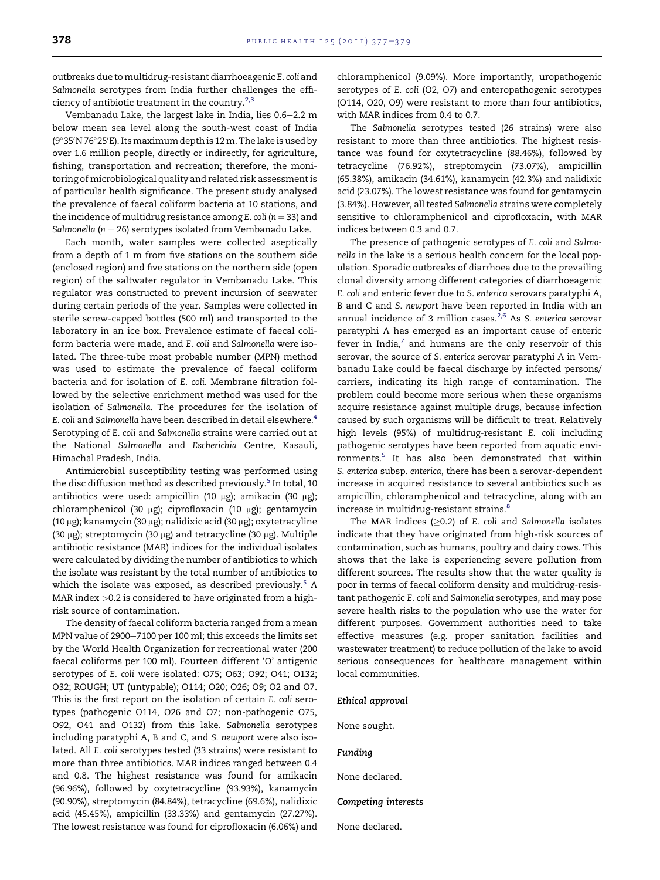outbreaks due to multidrug-resistant diarrhoeagenic E. coli and Salmonella serotypes from India further challenges the efficiency of antibiotic treatment in the country. $2,3$ 

Vembanadu Lake, the largest lake in India, lies 0.6-2.2 m below mean sea level along the south-west coast of India (9°35′N 76°25′E). Its maximum depth is 12 m. The lake is used by over 1.6 million people, directly or indirectly, for agriculture, fishing, transportation and recreation; therefore, the monitoring of microbiological quality and related risk assessment is of particular health significance. The present study analysed the prevalence of faecal coliform bacteria at 10 stations, and the incidence of multidrug resistance among E. coli ( $n = 33$ ) and Salmonella ( $n = 26$ ) serotypes isolated from Vembanadu Lake.

Each month, water samples were collected aseptically from a depth of 1 m from five stations on the southern side (enclosed region) and five stations on the northern side (open region) of the saltwater regulator in Vembanadu Lake. This regulator was constructed to prevent incursion of seawater during certain periods of the year. Samples were collected in sterile screw-capped bottles (500 ml) and transported to the laboratory in an ice box. Prevalence estimate of faecal coliform bacteria were made, and E. coli and Salmonella were isolated. The three-tube most probable number (MPN) method was used to estimate the prevalence of faecal coliform bacteria and for isolation of E. coli. Membrane filtration followed by the selective enrichment method was used for the isolation of Salmonella. The procedures for the isolation of E. coli and Salmonella have been described in detail elsewhere.<sup>4</sup> Serotyping of E. coli and Salmonella strains were carried out at the National Salmonella and Escherichia Centre, Kasauli, Himachal Pradesh, India.

Antimicrobial susceptibility testing was performed using the disc diffusion method as described previously.<sup>[5](#page-2-0)</sup> In total, 10 antibiotics were used: ampicillin (10  $\mu$ g); amikacin (30  $\mu$ g); chloramphenicol (30 µg); ciprofloxacin (10 µg); gentamycin (10 µg); kanamycin (30 µg); nalidixic acid (30 µg); oxytetracyline (30  $\mu$ g); streptomycin (30  $\mu$ g) and tetracycline (30  $\mu$ g). Multiple antibiotic resistance (MAR) indices for the individual isolates were calculated by dividing the number of antibiotics to which the isolate was resistant by the total number of antibiotics to which the isolate was exposed, as described previously.<sup>[5](#page-2-0)</sup> A MAR index >0.2 is considered to have originated from a highrisk source of contamination.

The density of faecal coliform bacteria ranged from a mean MPN value of 2900-7100 per 100 ml; this exceeds the limits set by the World Health Organization for recreational water (200 faecal coliforms per 100 ml). Fourteen different 'O' antigenic serotypes of E. coli were isolated: O75; O63; O92; O41; O132; O32; ROUGH; UT (untypable); O114; O20; O26; O9; O2 and O7. This is the first report on the isolation of certain E. coli serotypes (pathogenic O114, O26 and O7; non-pathogenic O75, O92, O41 and O132) from this lake. Salmonella serotypes including paratyphi A, B and C, and S. newport were also isolated. All E. coli serotypes tested (33 strains) were resistant to more than three antibiotics. MAR indices ranged between 0.4 and 0.8. The highest resistance was found for amikacin (96.96%), followed by oxytetracycline (93.93%), kanamycin (90.90%), streptomycin (84.84%), tetracycline (69.6%), nalidixic acid (45.45%), ampicillin (33.33%) and gentamycin (27.27%). The lowest resistance was found for ciprofloxacin (6.06%) and chloramphenicol (9.09%). More importantly, uropathogenic serotypes of E. coli (O2, O7) and enteropathogenic serotypes (O114, O20, O9) were resistant to more than four antibiotics, with MAR indices from 0.4 to 0.7.

The Salmonella serotypes tested (26 strains) were also resistant to more than three antibiotics. The highest resistance was found for oxytetracycline (88.46%), followed by tetracycline (76.92%), streptomycin (73.07%), ampicillin (65.38%), amikacin (34.61%), kanamycin (42.3%) and nalidixic acid (23.07%). The lowest resistance was found for gentamycin (3.84%). However, all tested Salmonella strains were completely sensitive to chloramphenicol and ciprofloxacin, with MAR indices between 0.3 and 0.7.

The presence of pathogenic serotypes of E. coli and Salmonella in the lake is a serious health concern for the local population. Sporadic outbreaks of diarrhoea due to the prevailing clonal diversity among different categories of diarrhoeagenic E. coli and enteric fever due to S. enterica serovars paratyphi A, B and C and S. newport have been reported in India with an annual incidence of 3 million cases.<sup>[2,6](#page-2-0)</sup> As S. enterica serovar paratyphi A has emerged as an important cause of enteric fever in India, $^7$  $^7$  and humans are the only reservoir of this serovar, the source of S. enterica serovar paratyphi A in Vembanadu Lake could be faecal discharge by infected persons/ carriers, indicating its high range of contamination. The problem could become more serious when these organisms acquire resistance against multiple drugs, because infection caused by such organisms will be difficult to treat. Relatively high levels (95%) of multidrug-resistant E. coli including pathogenic serotypes have been reported from aquatic environments.[5](#page-2-0) It has also been demonstrated that within S. enterica subsp. enterica, there has been a serovar-dependent increase in acquired resistance to several antibiotics such as ampicillin, chloramphenicol and tetracycline, along with an increase in multidrug-resistant strains.<sup>8</sup>

The MAR indices  $(≥0.2)$  of E. coli and Salmonella isolates indicate that they have originated from high-risk sources of contamination, such as humans, poultry and dairy cows. This shows that the lake is experiencing severe pollution from different sources. The results show that the water quality is poor in terms of faecal coliform density and multidrug-resistant pathogenic E. coli and Salmonella serotypes, and may pose severe health risks to the population who use the water for different purposes. Government authorities need to take effective measures (e.g. proper sanitation facilities and wastewater treatment) to reduce pollution of the lake to avoid serious consequences for healthcare management within local communities.

#### Ethical approval

None sought.

Funding

None declared.

#### Competing interests

None declared.